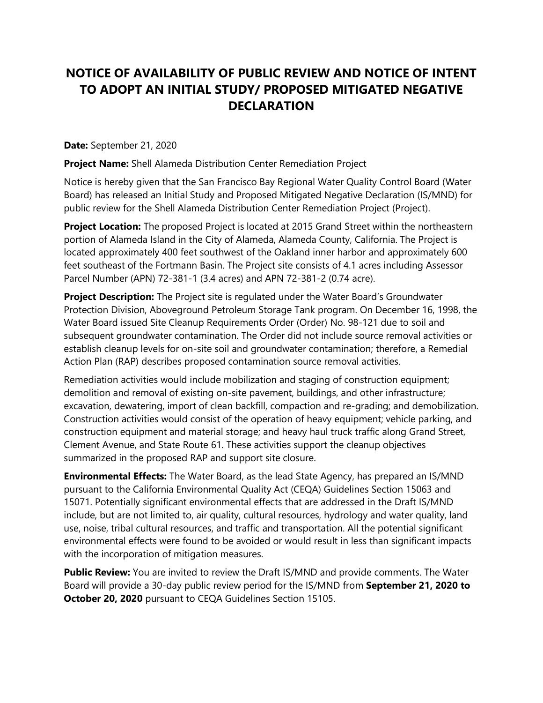## **NOTICE OF AVAILABILITY OF PUBLIC REVIEW AND NOTICE OF INTENT TO ADOPT AN INITIAL STUDY/ PROPOSED MITIGATED NEGATIVE DECLARATION**

**Date:** September 21, 2020

**Project Name:** Shell Alameda Distribution Center Remediation Project

Notice is hereby given that the San Francisco Bay Regional Water Quality Control Board (Water Board) has released an Initial Study and Proposed Mitigated Negative Declaration (IS/MND) for public review for the Shell Alameda Distribution Center Remediation Project (Project).

**Project Location:** The proposed Project is located at 2015 Grand Street within the northeastern portion of Alameda Island in the City of Alameda, Alameda County, California. The Project is located approximately 400 feet southwest of the Oakland inner harbor and approximately 600 feet southeast of the Fortmann Basin. The Project site consists of 4.1 acres including Assessor Parcel Number (APN) 72-381-1 (3.4 acres) and APN 72-381-2 (0.74 acre).

**Project Description:** The Project site is regulated under the Water Board's Groundwater Protection Division, Aboveground Petroleum Storage Tank program. On December 16, 1998, the Water Board issued Site Cleanup Requirements Order (Order) No. 98-121 due to soil and subsequent groundwater contamination. The Order did not include source removal activities or establish cleanup levels for on-site soil and groundwater contamination; therefore, a Remedial Action Plan (RAP) describes proposed contamination source removal activities.

Remediation activities would include mobilization and staging of construction equipment; demolition and removal of existing on-site pavement, buildings, and other infrastructure; excavation, dewatering, import of clean backfill, compaction and re-grading; and demobilization. Construction activities would consist of the operation of heavy equipment; vehicle parking, and construction equipment and material storage; and heavy haul truck traffic along Grand Street, Clement Avenue, and State Route 61. These activities support the cleanup objectives summarized in the proposed RAP and support site closure.

**Environmental Effects:** The Water Board, as the lead State Agency, has prepared an IS/MND pursuant to the California Environmental Quality Act (CEQA) Guidelines Section 15063 and 15071. Potentially significant environmental effects that are addressed in the Draft IS/MND include, but are not limited to, air quality, cultural resources, hydrology and water quality, land use, noise, tribal cultural resources, and traffic and transportation. All the potential significant environmental effects were found to be avoided or would result in less than significant impacts with the incorporation of mitigation measures.

**Public Review:** You are invited to review the Draft IS/MND and provide comments. The Water Board will provide a 30-day public review period for the IS/MND from **September 21, 2020 to October 20, 2020** pursuant to CEQA Guidelines Section 15105.